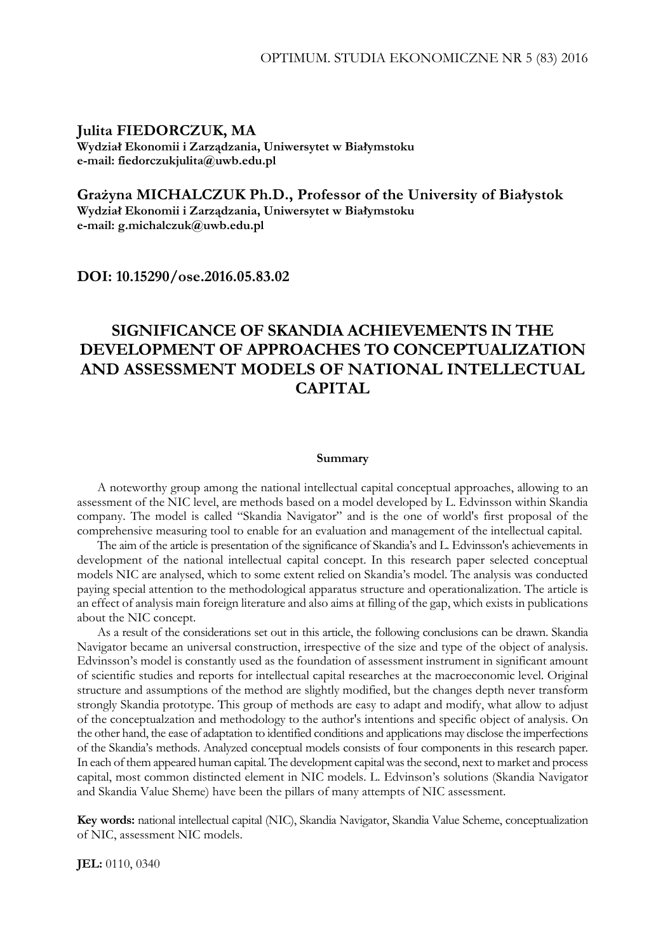### **Julita FIEDORCZUK, MA Wydział Ekonomii i Zarządzania, Uniwersytet w Białymstoku e-mail: fiedorczukjulita@uwb.edu.pl**

# **Grażyna MICHALCZUK Ph.D., Professor of the University of Białystok**

**Wydział Ekonomii i Zarządzania, Uniwersytet w Białymstoku e-mail: g.michalczuk@uwb.edu.pl** 

**DOI: 10.15290/ose.2016.05.83.02** 

# **SIGNIFICANCE OF SKANDIA ACHIEVEMENTS IN THE DEVELOPMENT OF APPROACHES TO CONCEPTUALIZATION AND ASSESSMENT MODELS OF NATIONAL INTELLECTUAL CAPITAL**

#### **Summary**

A noteworthy group among the national intellectual capital conceptual approaches, allowing to an assessment of the NIC level, are methods based on a model developed by L. Edvinsson within Skandia company. The model is called "Skandia Navigator" and is the one of world's first proposal of the comprehensive measuring tool to enable for an evaluation and management of the intellectual capital.

The aim of the article is presentation of the significance of Skandia's and L. Edvinsson's achievements in development of the national intellectual capital concept. In this research paper selected conceptual models NIC are analysed, which to some extent relied on Skandia's model. The analysis was conducted paying special attention to the methodological apparatus structure and operationalization. The article is an effect of analysis main foreign literature and also aims at filling of the gap, which exists in publications about the NIC concept.

As a result of the considerations set out in this article, the following conclusions can be drawn. Skandia Navigator became an universal construction, irrespective of the size and type of the object of analysis. Edvinsson's model is constantly used as the foundation of assessment instrument in significant amount of scientific studies and reports for intellectual capital researches at the macroeconomic level. Original structure and assumptions of the method are slightly modified, but the changes depth never transform strongly Skandia prototype. This group of methods are easy to adapt and modify, what allow to adjust of the conceptualzation and methodology to the author's intentions and specific object of analysis. On the other hand, the ease of adaptation to identified conditions and applications may disclose the imperfections of the Skandia's methods. Analyzed conceptual models consists of four components in this research paper. In each of them appeared human capital. The development capital was the second, next to market and process capital, most common distincted element in NIC models. L. Edvinson's solutions (Skandia Navigator and Skandia Value Sheme) have been the pillars of many attempts of NIC assessment.

**Key words:** national intellectual capital (NIC), Skandia Navigator, Skandia Value Scheme, conceptualization of NIC, assessment NIC models.

**JEL:** 0110, 0340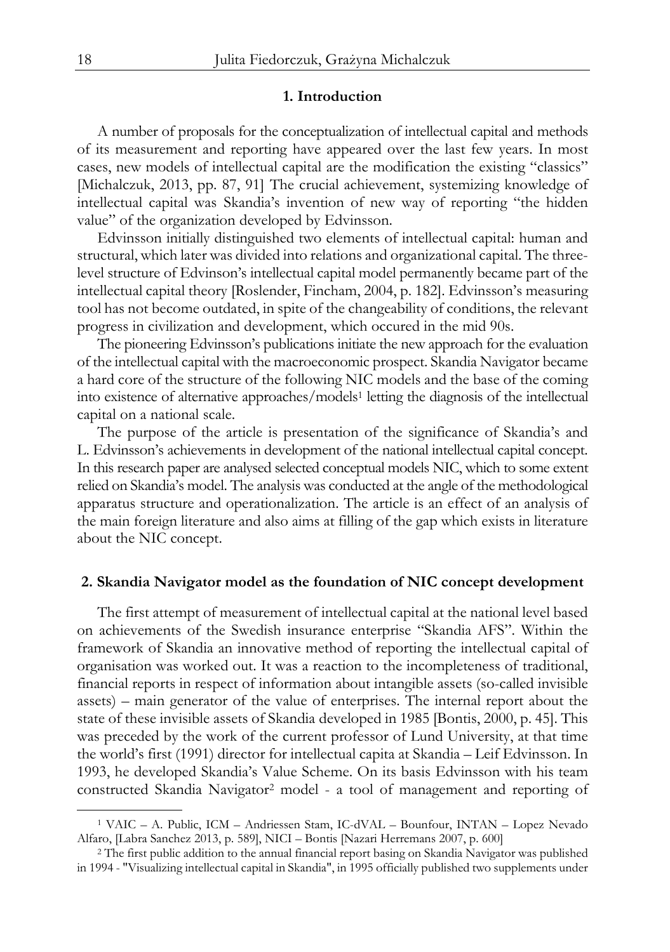### **1. Introduction**

A number of proposals for the conceptualization of intellectual capital and methods of its measurement and reporting have appeared over the last few years. In most cases, new models of intellectual capital are the modification the existing "classics" [Michalczuk, 2013, pp. 87, 91] The crucial achievement, systemizing knowledge of intellectual capital was Skandia's invention of new way of reporting "the hidden value" of the organization developed by Edvinsson.

Edvinsson initially distinguished two elements of intellectual capital: human and structural, which later was divided into relations and organizational capital. The threelevel structure of Edvinson's intellectual capital model permanently became part of the intellectual capital theory [Roslender, Fincham, 2004, p. 182]. Edvinsson's measuring tool has not become outdated, in spite of the changeability of conditions, the relevant progress in civilization and development, which occured in the mid 90s.

The pioneering Edvinsson's publications initiate the new approach for the evaluation of the intellectual capital with the macroeconomic prospect. Skandia Navigator became a hard core of the structure of the following NIC models and the base of the coming into existence of alternative approaches/models1 letting the diagnosis of the intellectual capital on a national scale.

The purpose of the article is presentation of the significance of Skandia's and L. Edvinsson's achievements in development of the national intellectual capital concept. In this research paper are analysed selected conceptual models NIC, which to some extent relied on Skandia's model. The analysis was conducted at the angle of the methodological apparatus structure and operationalization. The article is an effect of an analysis of the main foreign literature and also aims at filling of the gap which exists in literature about the NIC concept.

### **2. Skandia Navigator model as the foundation of NIC concept development**

The first attempt of measurement of intellectual capital at the national level based on achievements of the Swedish insurance enterprise "Skandia AFS". Within the framework of Skandia an innovative method of reporting the intellectual capital of organisation was worked out. It was a reaction to the incompleteness of traditional, financial reports in respect of information about intangible assets (so-called invisible assets) – main generator of the value of enterprises. The internal report about the state of these invisible assets of Skandia developed in 1985 [Bontis, 2000, p. 45]. This was preceded by the work of the current professor of Lund University, at that time the world's first (1991) director for intellectual capita at Skandia – Leif Edvinsson. In 1993, he developed Skandia's Value Scheme. On its basis Edvinsson with his team constructed Skandia Navigator2 model - a tool of management and reporting of

<sup>1</sup> VAIC – A. Public, ICM – Andriessen Stam, IC-dVAL – Bounfour, INTAN – Lopez Nevado Alfaro, [Labra Sanchez 2013, p. 589], NICI – Bontis [Nazari Herremans 2007, p. 600] 2 The first public addition to the annual financial report basing on Skandia Navigator was published

in 1994 - "Visualizing intellectual capital in Skandia", in 1995 officially published two supplements under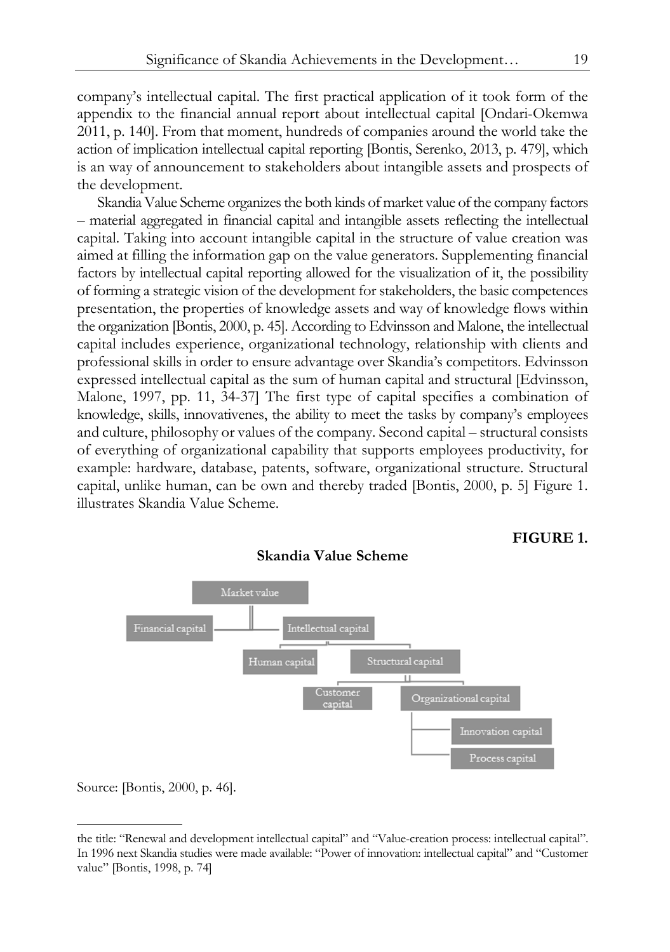company's intellectual capital. The first practical application of it took form of the appendix to the financial annual report about intellectual capital [Ondari-Okemwa 2011, p. 140]. From that moment, hundreds of companies around the world take the action of implication intellectual capital reporting [Bontis, Serenko, 2013, p. 479], which is an way of announcement to stakeholders about intangible assets and prospects of the development.

Skandia Value Scheme organizes the both kinds of market value of the company factors – material aggregated in financial capital and intangible assets reflecting the intellectual capital. Taking into account intangible capital in the structure of value creation was aimed at filling the information gap on the value generators. Supplementing financial factors by intellectual capital reporting allowed for the visualization of it, the possibility of forming a strategic vision of the development for stakeholders, the basic competences presentation, the properties of knowledge assets and way of knowledge flows within the organization [Bontis, 2000, p. 45]. According to Edvinsson and Malone, the intellectual capital includes experience, organizational technology, relationship with clients and professional skills in order to ensure advantage over Skandia's competitors. Edvinsson expressed intellectual capital as the sum of human capital and structural [Edvinsson, Malone, 1997, pp. 11, 34-37] The first type of capital specifies a combination of knowledge, skills, innovativenes, the ability to meet the tasks by company's employees and culture, philosophy or values of the company. Second capital – structural consists of everything of organizational capability that supports employees productivity, for example: hardware, database, patents, software, organizational structure. Structural capital, unlike human, can be own and thereby traded [Bontis, 2000, p. 5] Figure 1. illustrates Skandia Value Scheme.



## **Skandia Value Scheme**

Source: [Bontis, 2000, p. 46].

1

**FIGURE 1.** 

the title: "Renewal and development intellectual capital" and "Value-creation process: intellectual capital". In 1996 next Skandia studies were made available: "Power of innovation: intellectual capital" and "Customer value" [Bontis, 1998, p. 74]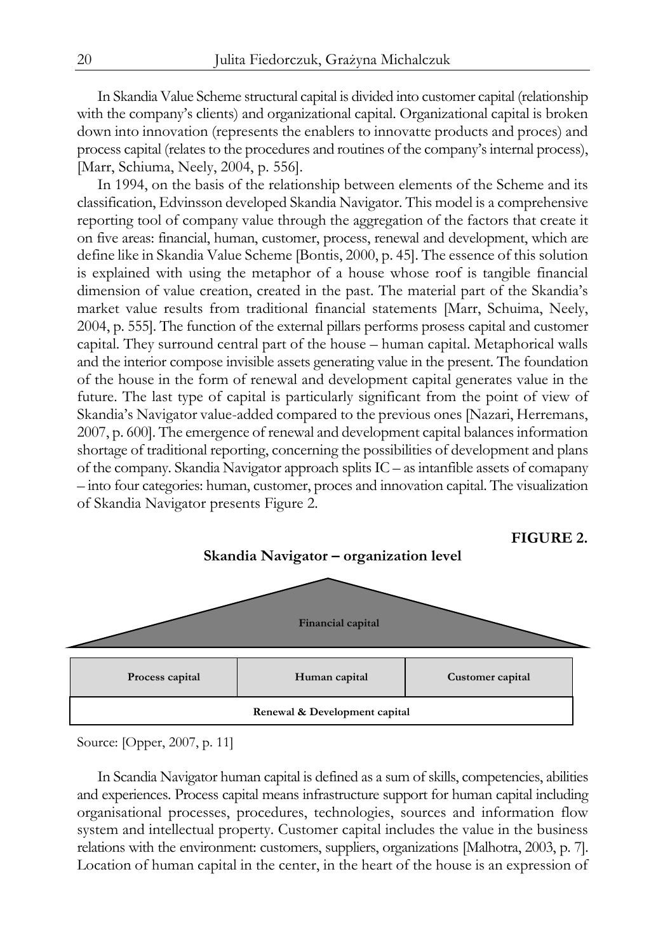In Skandia Value Scheme structural capital is divided into customer capital (relationship with the company's clients) and organizational capital. Organizational capital is broken down into innovation (represents the enablers to innovatte products and proces) and process capital (relates to the procedures and routines of the company's internal process), [Marr, Schiuma, Neely, 2004, p. 556].

In 1994, on the basis of the relationship between elements of the Scheme and its classification, Edvinsson developed Skandia Navigator. This model is a comprehensive reporting tool of company value through the aggregation of the factors that create it on five areas: financial, human, customer, process, renewal and development, which are define like in Skandia Value Scheme [Bontis, 2000, p. 45]. The essence of this solution is explained with using the metaphor of a house whose roof is tangible financial dimension of value creation, created in the past. The material part of the Skandia's market value results from traditional financial statements [Marr, Schuima, Neely, 2004, p. 555]. The function of the external pillars performs prosess capital and customer capital. They surround central part of the house – human capital. Metaphorical walls and the interior compose invisible assets generating value in the present. The foundation of the house in the form of renewal and development capital generates value in the future. The last type of capital is particularly significant from the point of view of Skandia's Navigator value-added compared to the previous ones [Nazari, Herremans, 2007, p. 600]. The emergence of renewal and development capital balances information shortage of traditional reporting, concerning the possibilities of development and plans of the company. Skandia Navigator approach splits IC – as intanfible assets of comapany – into four categories: human, customer, proces and innovation capital. The visualization of Skandia Navigator presents Figure 2.



Source: [Opper, 2007, p. 11]

In Scandia Navigator human capital is defined as a sum of skills, competencies, abilities and experiences. Process capital means infrastructure support for human capital including organisational processes, procedures, technologies, sources and information flow system and intellectual property. Customer capital includes the value in the business relations with the environment: customers, suppliers, organizations [Malhotra, 2003, p. 7]. Location of human capital in the center, in the heart of the house is an expression of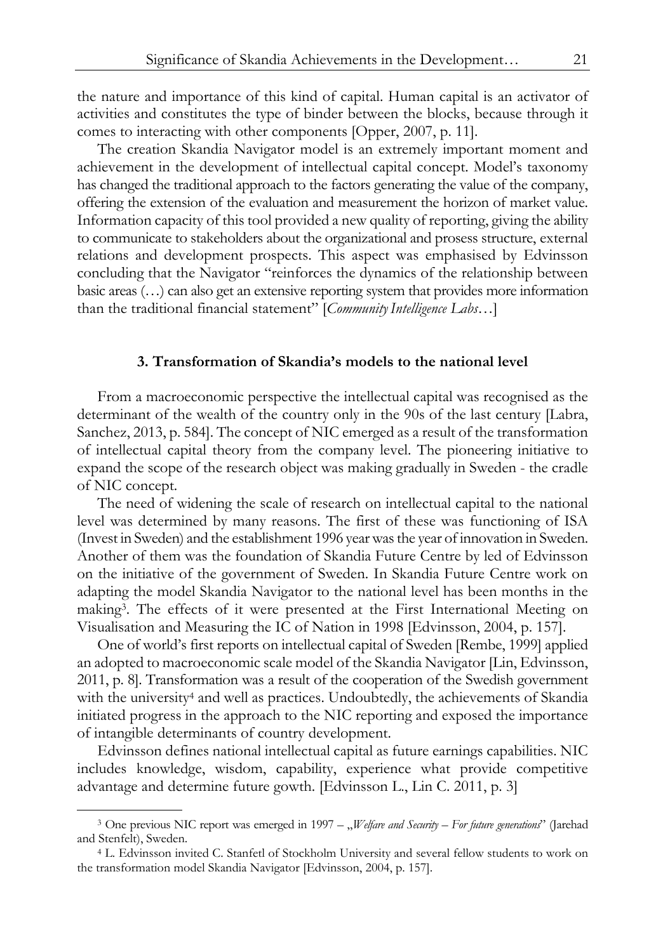the nature and importance of this kind of capital. Human capital is an activator of activities and constitutes the type of binder between the blocks, because through it comes to interacting with other components [Opper, 2007, p. 11].

The creation Skandia Navigator model is an extremely important moment and achievement in the development of intellectual capital concept. Model's taxonomy has changed the traditional approach to the factors generating the value of the company, offering the extension of the evaluation and measurement the horizon of market value. Information capacity of this tool provided a new quality of reporting, giving the ability to communicate to stakeholders about the organizational and prosess structure, external relations and development prospects. This aspect was emphasised by Edvinsson concluding that the Navigator "reinforces the dynamics of the relationship between basic areas (…) can also get an extensive reporting system that provides more information than the traditional financial statement" [*CommunityIntelligence Labs*…]

### **3. Transformation of Skandia's models to the national level**

From a macroeconomic perspective the intellectual capital was recognised as the determinant of the wealth of the country only in the 90s of the last century [Labra, Sanchez, 2013, p. 584]. The concept of NIC emerged as a result of the transformation of intellectual capital theory from the company level. The pioneering initiative to expand the scope of the research object was making gradually in Sweden - the cradle of NIC concept.

The need of widening the scale of research on intellectual capital to the national level was determined by many reasons. The first of these was functioning of ISA (Invest in Sweden) and the establishment 1996 year was the year of innovation in Sweden. Another of them was the foundation of Skandia Future Centre by led of Edvinsson on the initiative of the government of Sweden. In Skandia Future Centre work on adapting the model Skandia Navigator to the national level has been months in the making3. The effects of it were presented at the First International Meeting on Visualisation and Measuring the IC of Nation in 1998 [Edvinsson, 2004, p. 157].

One of world's first reports on intellectual capital of Sweden [Rembe, 1999] applied an adopted to macroeconomic scale model of the Skandia Navigator [Lin, Edvinsson, 2011, p. 8]. Transformation was a result of the cooperation of the Swedish government with the university<sup>4</sup> and well as practices. Undoubtedly, the achievements of Skandia initiated progress in the approach to the NIC reporting and exposed the importance of intangible determinants of country development.

Edvinsson defines national intellectual capital as future earnings capabilities. NIC includes knowledge, wisdom, capability, experience what provide competitive advantage and determine future gowth. [Edvinsson L., Lin C. 2011, p. 3]

<sup>&</sup>lt;sup>3</sup> One previous NIC report was emerged in 1997 – "*Welfare and Security – For future generations*" (Jarehad and Stenfelt), Sweden. 4 L. Edvinsson invited C. Stanfetl of Stockholm University and several fellow students to work on

the transformation model Skandia Navigator [Edvinsson, 2004, p. 157].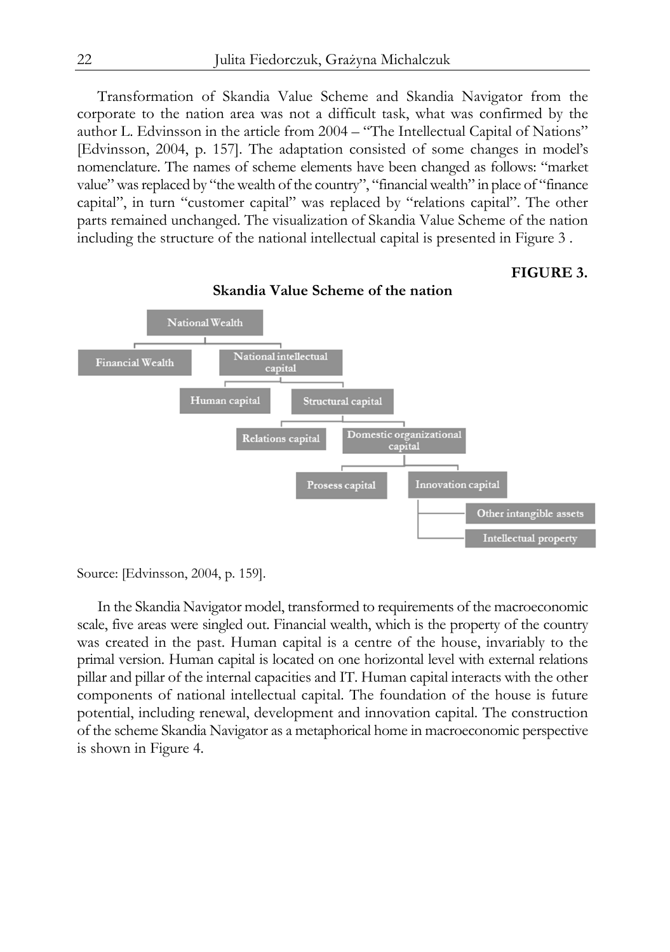Transformation of Skandia Value Scheme and Skandia Navigator from the corporate to the nation area was not a difficult task, what was confirmed by the author L. Edvinsson in the article from 2004 – "The Intellectual Capital of Nations" [Edvinsson, 2004, p. 157]. The adaptation consisted of some changes in model's nomenclature. The names of scheme elements have been changed as follows: "market value" was replaced by "the wealth of the country", "financial wealth" in place of "finance capital", in turn "customer capital" was replaced by "relations capital". The other parts remained unchanged. The visualization of Skandia Value Scheme of the nation including the structure of the national intellectual capital is presented in Figure 3 .

#### **FIGURE 3.**



**Skandia Value Scheme of the nation** 

In the Skandia Navigator model, transformed to requirements of the macroeconomic scale, five areas were singled out. Financial wealth, which is the property of the country was created in the past. Human capital is a centre of the house, invariably to the primal version. Human capital is located on one horizontal level with external relations pillar and pillar of the internal capacities and IT. Human capital interacts with the other components of national intellectual capital. The foundation of the house is future potential, including renewal, development and innovation capital. The construction of the scheme Skandia Navigator as a metaphorical home in macroeconomic perspective is shown in Figure 4.

Source: [Edvinsson, 2004, p. 159].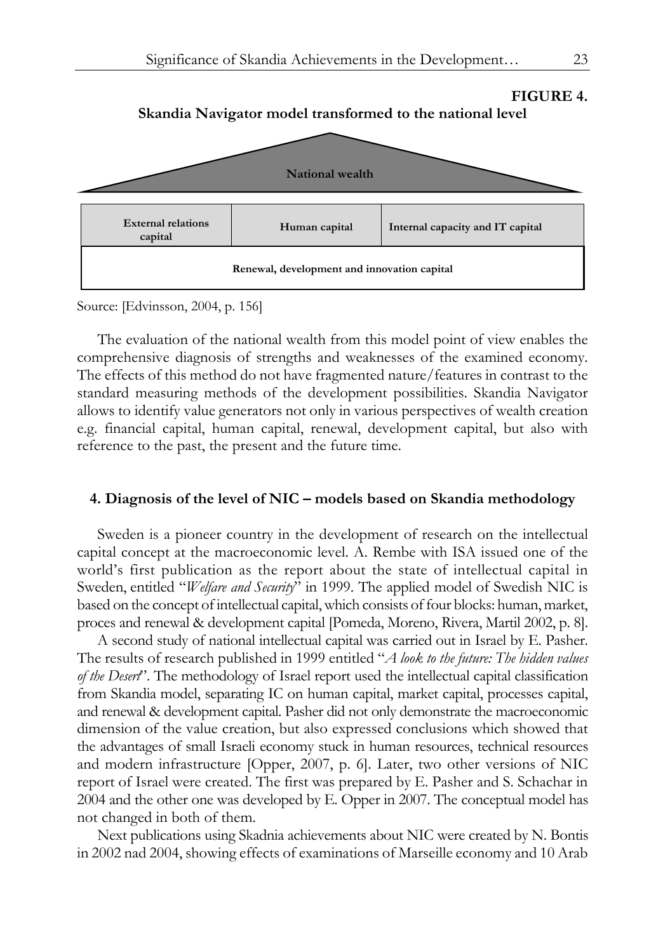

Source: [Edvinsson, 2004, p. 156]

The evaluation of the national wealth from this model point of view enables the comprehensive diagnosis of strengths and weaknesses of the examined economy. The effects of this method do not have fragmented nature/features in contrast to the standard measuring methods of the development possibilities. Skandia Navigator allows to identify value generators not only in various perspectives of wealth creation e.g. financial capital, human capital, renewal, development capital, but also with reference to the past, the present and the future time.

#### **4. Diagnosis of the level of NIC – models based on Skandia methodology**

Sweden is a pioneer country in the development of research on the intellectual capital concept at the macroeconomic level. A. Rembe with ISA issued one of the world's first publication as the report about the state of intellectual capital in Sweden, entitled "*Welfare and Security*" in 1999. The applied model of Swedish NIC is based on the concept of intellectual capital, which consists of four blocks: human, market, proces and renewal & development capital [Pomeda, Moreno, Rivera, Martil 2002, p. 8].

A second study of national intellectual capital was carried out in Israel by E. Pasher. The results of research published in 1999 entitled "*A look to the future: The hidden values of the Desert*". The methodology of Israel report used the intellectual capital classification from Skandia model, separating IC on human capital, market capital, processes capital, and renewal & development capital. Pasher did not only demonstrate the macroeconomic dimension of the value creation, but also expressed conclusions which showed that the advantages of small Israeli economy stuck in human resources, technical resources and modern infrastructure [Opper, 2007, p. 6]. Later, two other versions of NIC report of Israel were created. The first was prepared by E. Pasher and S. Schachar in 2004 and the other one was developed by E. Opper in 2007. The conceptual model has not changed in both of them.

Next publications using Skadnia achievements about NIC were created by N. Bontis in 2002 nad 2004, showing effects of examinations of Marseille economy and 10 Arab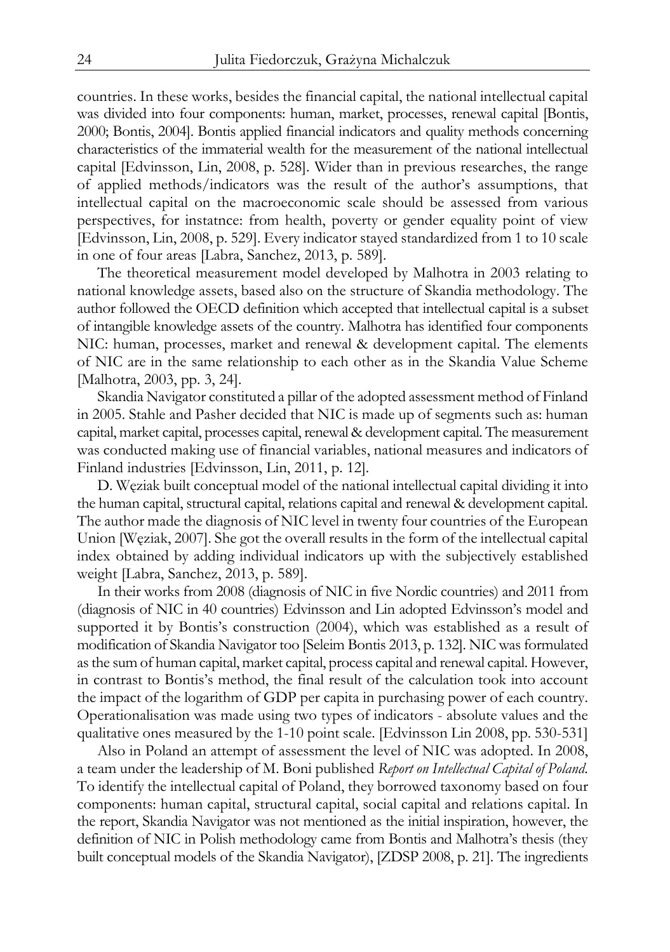countries. In these works, besides the financial capital, the national intellectual capital was divided into four components: human, market, processes, renewal capital [Bontis, 2000; Bontis, 2004]. Bontis applied financial indicators and quality methods concerning characteristics of the immaterial wealth for the measurement of the national intellectual capital [Edvinsson, Lin, 2008, p. 528]. Wider than in previous researches, the range of applied methods/indicators was the result of the author's assumptions, that intellectual capital on the macroeconomic scale should be assessed from various perspectives, for instatnce: from health, poverty or gender equality point of view [Edvinsson, Lin, 2008, p. 529]. Every indicator stayed standardized from 1 to 10 scale in one of four areas [Labra, Sanchez, 2013, p. 589].

The theoretical measurement model developed by Malhotra in 2003 relating to national knowledge assets, based also on the structure of Skandia methodology. The author followed the OECD definition which accepted that intellectual capital is a subset of intangible knowledge assets of the country. Malhotra has identified four components NIC: human, processes, market and renewal & development capital. The elements of NIC are in the same relationship to each other as in the Skandia Value Scheme [Malhotra, 2003, pp. 3, 24].

Skandia Navigator constituted a pillar of the adopted assessment method of Finland in 2005. Stahle and Pasher decided that NIC is made up of segments such as: human capital, market capital, processes capital, renewal & development capital. The measurement was conducted making use of financial variables, national measures and indicators of Finland industries [Edvinsson, Lin, 2011, p. 12].

D. Węziak built conceptual model of the national intellectual capital dividing it into the human capital, structural capital, relations capital and renewal & development capital. The author made the diagnosis of NIC level in twenty four countries of the European Union [Węziak, 2007]. She got the overall results in the form of the intellectual capital index obtained by adding individual indicators up with the subjectively established weight [Labra, Sanchez, 2013, p. 589].

In their works from 2008 (diagnosis of NIC in five Nordic countries) and 2011 from (diagnosis of NIC in 40 countries) Edvinsson and Lin adopted Edvinsson's model and supported it by Bontis's construction (2004), which was established as a result of modification of Skandia Navigator too [Seleim Bontis 2013, p. 132]. NIC was formulated as the sum of human capital, market capital, process capital and renewal capital. However, in contrast to Bontis's method, the final result of the calculation took into account the impact of the logarithm of GDP per capita in purchasing power of each country. Operationalisation was made using two types of indicators - absolute values and the qualitative ones measured by the 1-10 point scale. [Edvinsson Lin 2008, pp. 530-531]

Also in Poland an attempt of assessment the level of NIC was adopted. In 2008, a team under the leadership of M. Boni published *Report on Intellectual Capital of Poland*. To identify the intellectual capital of Poland, they borrowed taxonomy based on four components: human capital, structural capital, social capital and relations capital. In the report, Skandia Navigator was not mentioned as the initial inspiration, however, the definition of NIC in Polish methodology came from Bontis and Malhotra's thesis (they built conceptual models of the Skandia Navigator), [ZDSP 2008, p. 21]. The ingredients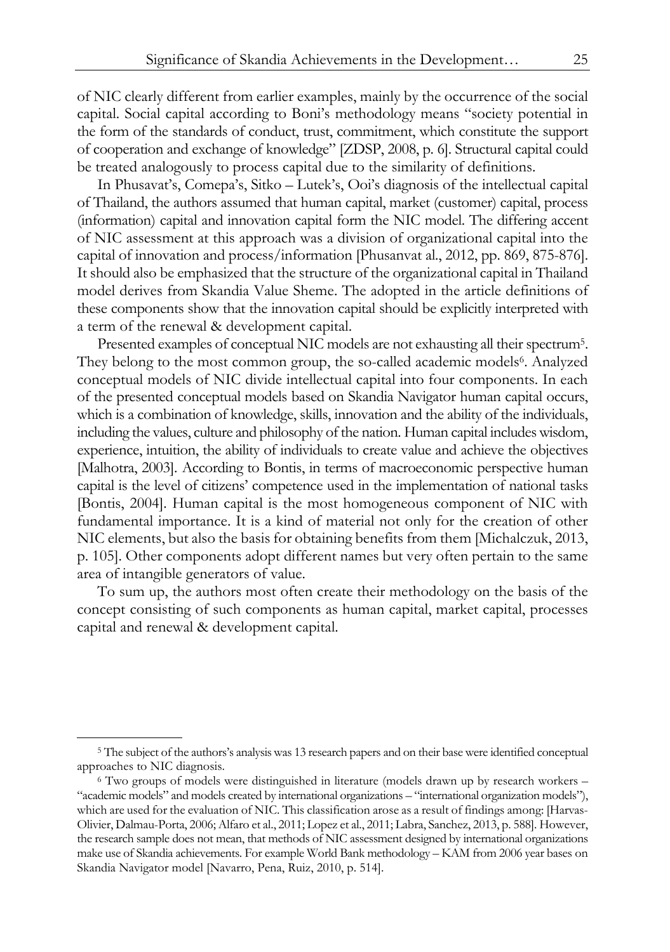of NIC clearly different from earlier examples, mainly by the occurrence of the social capital. Social capital according to Boni's methodology means "society potential in the form of the standards of conduct, trust, commitment, which constitute the support of cooperation and exchange of knowledge" [ZDSP, 2008, p. 6]. Structural capital could be treated analogously to process capital due to the similarity of definitions.

In Phusavat's, Comepa's, Sitko – Lutek's, Ooi's diagnosis of the intellectual capital of Thailand, the authors assumed that human capital, market (customer) capital, process (information) capital and innovation capital form the NIC model. The differing accent of NIC assessment at this approach was a division of organizational capital into the capital of innovation and process/information [Phusanvat al., 2012, pp. 869, 875-876]. It should also be emphasized that the structure of the organizational capital in Thailand model derives from Skandia Value Sheme. The adopted in the article definitions of these components show that the innovation capital should be explicitly interpreted with a term of the renewal & development capital.

Presented examples of conceptual NIC models are not exhausting all their spectrum<sup>5</sup>. They belong to the most common group, the so-called academic models<sup>6</sup>. Analyzed conceptual models of NIC divide intellectual capital into four components. In each of the presented conceptual models based on Skandia Navigator human capital occurs, which is a combination of knowledge, skills, innovation and the ability of the individuals, including the values, culture and philosophy of the nation. Human capital includes wisdom, experience, intuition, the ability of individuals to create value and achieve the objectives [Malhotra, 2003]. According to Bontis, in terms of macroeconomic perspective human capital is the level of citizens' competence used in the implementation of national tasks [Bontis, 2004]. Human capital is the most homogeneous component of NIC with fundamental importance. It is a kind of material not only for the creation of other NIC elements, but also the basis for obtaining benefits from them [Michalczuk, 2013, p. 105]. Other components adopt different names but very often pertain to the same area of intangible generators of value.

To sum up, the authors most often create their methodology on the basis of the concept consisting of such components as human capital, market capital, processes capital and renewal & development capital.

<sup>5</sup> The subject of the authors's analysis was 13 research papers and on their base were identified conceptual approaches to NIC diagnosis. 6 Two groups of models were distinguished in literature (models drawn up by research workers –

<sup>&</sup>quot;academic models" and models created by international organizations – "international organization models"), which are used for the evaluation of NIC. This classification arose as a result of findings among: [Harvas-Olivier, Dalmau-Porta, 2006; Alfaro et al., 2011; Lopez et al., 2011; Labra, Sanchez, 2013, p. 588]. However, the research sample does not mean, that methods of NIC assessment designed by international organizations make use of Skandia achievements. For example World Bank methodology – KAM from 2006 year bases on Skandia Navigator model [Navarro, Pena, Ruiz, 2010, p. 514].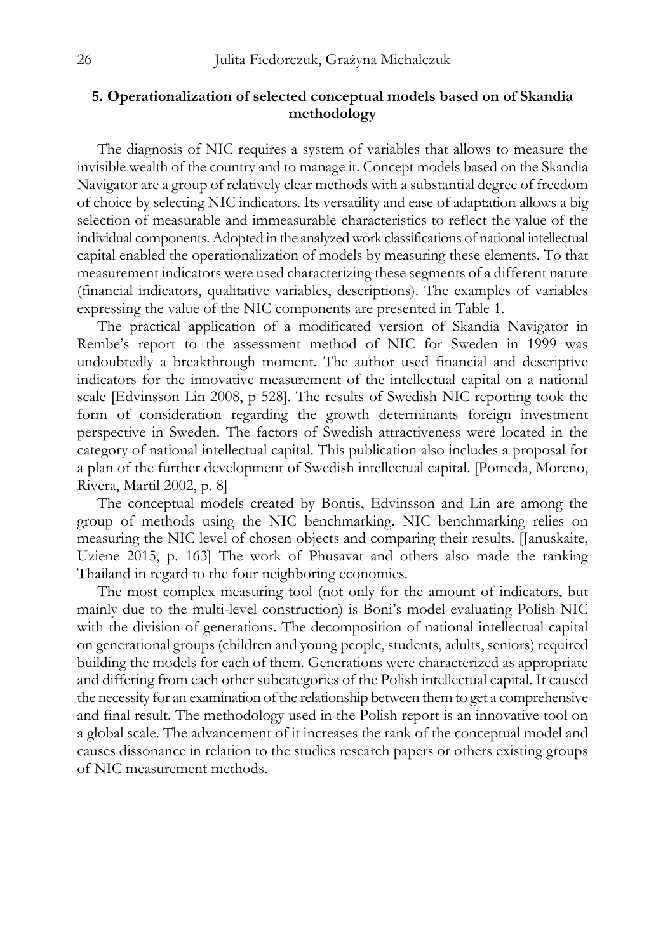## **5. Operationalization of selected conceptual models based on of Skandia methodology**

The diagnosis of NIC requires a system of variables that allows to measure the invisible wealth of the country and to manage it. Concept models based on the Skandia Navigator are a group of relatively clear methods with a substantial degree of freedom of choice by selecting NIC indicators. Its versatility and ease of adaptation allows a big selection of measurable and immeasurable characteristics to reflect the value of the individual components. Adopted in the analyzed work classifications of national intellectual capital enabled the operationalization of models by measuring these elements. To that measurement indicators were used characterizing these segments of a different nature (financial indicators, qualitative variables, descriptions). The examples of variables expressing the value of the NIC components are presented in Table 1.

The practical application of a modificated version of Skandia Navigator in Rembe's report to the assessment method of NIC for Sweden in 1999 was undoubtedly a breakthrough moment. The author used financial and descriptive indicators for the innovative measurement of the intellectual capital on a national scale [Edvinsson Lin 2008, p 528]. The results of Swedish NIC reporting took the form of consideration regarding the growth determinants foreign investment perspective in Sweden. The factors of Swedish attractiveness were located in the category of national intellectual capital. This publication also includes a proposal for a plan of the further development of Swedish intellectual capital. [Pomeda, Moreno, Rivera, Martil 2002, p. 8]

The conceptual models created by Bontis, Edvinsson and Lin are among the group of methods using the NIC benchmarking. NIC benchmarking relies on measuring the NIC level of chosen objects and comparing their results. [Januskaite, Uziene 2015, p. 163] The work of Phusavat and others also made the ranking Thailand in regard to the four neighboring economies.

The most complex measuring tool (not only for the amount of indicators, but mainly due to the multi-level construction) is Boni's model evaluating Polish NIC with the division of generations. The decomposition of national intellectual capital on generational groups (children and young people, students, adults, seniors) required building the models for each of them. Generations were characterized as appropriate and differing from each other subcategories of the Polish intellectual capital. It caused the necessity for an examination of the relationship between them to get a comprehensive and final result. The methodology used in the Polish report is an innovative tool on a global scale. The advancement of it increases the rank of the conceptual model and causes dissonance in relation to the studies research papers or others existing groups of NIC measurement methods.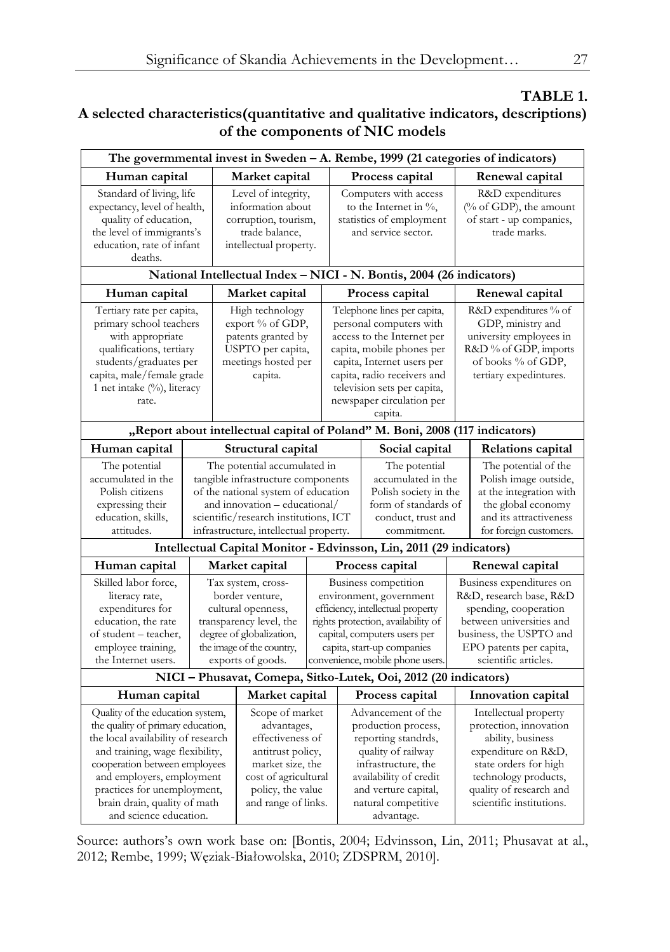# **TABLE 1.**

# **A selected characteristics(quantitative and qualitative indicators, descriptions) of the components of NIC models**

| The governmental invest in Sweden - A. Rembe, 1999 (21 categories of indicators)                                                                                                                                                                                                                                                                |                                                                                                                                                                      |                                                                                                                                                                 |                                                                                                                                                                                                                              |                                                                                                                                                                                                                                                       |                                                                                                                                                                                                      |                                                                                                                                                                                        |                                                                                                                                                                                                     |  |
|-------------------------------------------------------------------------------------------------------------------------------------------------------------------------------------------------------------------------------------------------------------------------------------------------------------------------------------------------|----------------------------------------------------------------------------------------------------------------------------------------------------------------------|-----------------------------------------------------------------------------------------------------------------------------------------------------------------|------------------------------------------------------------------------------------------------------------------------------------------------------------------------------------------------------------------------------|-------------------------------------------------------------------------------------------------------------------------------------------------------------------------------------------------------------------------------------------------------|------------------------------------------------------------------------------------------------------------------------------------------------------------------------------------------------------|----------------------------------------------------------------------------------------------------------------------------------------------------------------------------------------|-----------------------------------------------------------------------------------------------------------------------------------------------------------------------------------------------------|--|
| Human capital                                                                                                                                                                                                                                                                                                                                   |                                                                                                                                                                      | Market capital                                                                                                                                                  |                                                                                                                                                                                                                              | Process capital                                                                                                                                                                                                                                       |                                                                                                                                                                                                      |                                                                                                                                                                                        | Renewal capital                                                                                                                                                                                     |  |
| Standard of living, life<br>expectancy, level of health,<br>quality of education,<br>the level of immigrants's<br>education, rate of infant<br>deaths.                                                                                                                                                                                          |                                                                                                                                                                      | Level of integrity,<br>information about<br>corruption, tourism,<br>trade balance,<br>intellectual property.                                                    |                                                                                                                                                                                                                              | Computers with access<br>to the Internet in $\%$ ,<br>statistics of employment<br>and service sector.                                                                                                                                                 |                                                                                                                                                                                                      |                                                                                                                                                                                        | R&D expenditures<br>(% of GDP), the amount<br>of start - up companies,<br>trade marks.                                                                                                              |  |
| National Intellectual Index - NICI - N. Bontis, 2004 (26 indicators)                                                                                                                                                                                                                                                                            |                                                                                                                                                                      |                                                                                                                                                                 |                                                                                                                                                                                                                              |                                                                                                                                                                                                                                                       |                                                                                                                                                                                                      |                                                                                                                                                                                        |                                                                                                                                                                                                     |  |
| Human capital                                                                                                                                                                                                                                                                                                                                   |                                                                                                                                                                      | Market capital                                                                                                                                                  |                                                                                                                                                                                                                              | Process capital                                                                                                                                                                                                                                       |                                                                                                                                                                                                      |                                                                                                                                                                                        | Renewal capital                                                                                                                                                                                     |  |
| Tertiary rate per capita,<br>primary school teachers<br>with appropriate<br>qualifications, tertiary<br>students/graduates per<br>capita, male/female grade<br>1 net intake (%), literacy<br>rate.                                                                                                                                              |                                                                                                                                                                      | High technology<br>export % of GDP,<br>patents granted by<br>USPTO per capita,<br>meetings hosted per<br>capita.                                                |                                                                                                                                                                                                                              | Telephone lines per capita,<br>personal computers with<br>access to the Internet per<br>capita, mobile phones per<br>capita, Internet users per<br>capita, radio receivers and<br>television sets per capita,<br>newspaper circulation per<br>capita. |                                                                                                                                                                                                      |                                                                                                                                                                                        | R&D expenditures % of<br>GDP, ministry and<br>university employees in<br>R&D % of GDP, imports<br>of books % of GDP,<br>tertiary expedintures.                                                      |  |
| "Report about intellectual capital of Poland" M. Boni, 2008 (117 indicators)                                                                                                                                                                                                                                                                    |                                                                                                                                                                      |                                                                                                                                                                 |                                                                                                                                                                                                                              |                                                                                                                                                                                                                                                       |                                                                                                                                                                                                      |                                                                                                                                                                                        |                                                                                                                                                                                                     |  |
| Human capital                                                                                                                                                                                                                                                                                                                                   | Structural capital                                                                                                                                                   |                                                                                                                                                                 |                                                                                                                                                                                                                              |                                                                                                                                                                                                                                                       | Social capital                                                                                                                                                                                       |                                                                                                                                                                                        | Relations capital                                                                                                                                                                                   |  |
| The potential<br>The potential accumulated in<br>accumulated in the<br>tangible infrastructure components<br>Polish citizens<br>of the national system of education<br>expressing their<br>and innovation - educational/<br>education, skills,<br>scientific/research institutions, ICT<br>attitudes.<br>infrastructure, intellectual property. |                                                                                                                                                                      |                                                                                                                                                                 |                                                                                                                                                                                                                              | The potential<br>accumulated in the<br>Polish society in the<br>form of standards of<br>conduct, trust and<br>commitment.                                                                                                                             |                                                                                                                                                                                                      |                                                                                                                                                                                        | The potential of the<br>Polish image outside,<br>at the integration with<br>the global economy<br>and its attractiveness<br>for foreign customers.                                                  |  |
| Intellectual Capital Monitor - Edvinsson, Lin, 2011 (29 indicators)                                                                                                                                                                                                                                                                             |                                                                                                                                                                      |                                                                                                                                                                 |                                                                                                                                                                                                                              |                                                                                                                                                                                                                                                       |                                                                                                                                                                                                      |                                                                                                                                                                                        |                                                                                                                                                                                                     |  |
| Human capital                                                                                                                                                                                                                                                                                                                                   | Market capital                                                                                                                                                       |                                                                                                                                                                 |                                                                                                                                                                                                                              | Process capital                                                                                                                                                                                                                                       |                                                                                                                                                                                                      |                                                                                                                                                                                        | Renewal capital                                                                                                                                                                                     |  |
| Skilled labor force,<br>literacy rate,<br>expenditures for<br>education, the rate<br>of student – teacher,<br>employee training,<br>the Internet users.                                                                                                                                                                                         | Tax system, cross-<br>border venture,<br>cultural openness,<br>transparency level, the<br>degree of globalization,<br>the image of the country,<br>exports of goods. |                                                                                                                                                                 | Business competition<br>environment, government<br>efficiency, intellectual property<br>rights protection, availability of<br>capital, computers users per<br>capita, start-up companies<br>convenience, mobile phone users. |                                                                                                                                                                                                                                                       |                                                                                                                                                                                                      | Business expenditures on<br>R&D, research base, R&D<br>spending, cooperation<br>between universities and<br>business, the USPTO and<br>EPO patents per capita,<br>scientific articles. |                                                                                                                                                                                                     |  |
| NICI - Phusavat, Comepa, Sitko-Lutek, Ooi, 2012 (20 indicators)                                                                                                                                                                                                                                                                                 |                                                                                                                                                                      |                                                                                                                                                                 |                                                                                                                                                                                                                              |                                                                                                                                                                                                                                                       |                                                                                                                                                                                                      |                                                                                                                                                                                        |                                                                                                                                                                                                     |  |
| Human capital                                                                                                                                                                                                                                                                                                                                   |                                                                                                                                                                      | Market capital                                                                                                                                                  |                                                                                                                                                                                                                              |                                                                                                                                                                                                                                                       | Process capital                                                                                                                                                                                      |                                                                                                                                                                                        | Innovation capital                                                                                                                                                                                  |  |
| Quality of the education system,<br>the quality of primary education,<br>the local availability of research<br>and training, wage flexibility,<br>cooperation between employees<br>and employers, employment<br>practices for unemployment,<br>brain drain, quality of math<br>and science education.                                           |                                                                                                                                                                      | Scope of market<br>advantages,<br>effectiveness of<br>antitrust policy,<br>market size, the<br>cost of agricultural<br>policy, the value<br>and range of links. |                                                                                                                                                                                                                              |                                                                                                                                                                                                                                                       | Advancement of the<br>production process,<br>reporting standrds,<br>quality of railway<br>infrastructure, the<br>availability of credit<br>and verture capital,<br>natural competitive<br>advantage. |                                                                                                                                                                                        | Intellectual property<br>protection, innovation<br>ability, business<br>expenditure on R&D,<br>state orders for high<br>technology products,<br>quality of research and<br>scientific institutions. |  |

Source: authors's own work base on: [Bontis, 2004; Edvinsson, Lin, 2011; Phusavat at al., 2012; Rembe, 1999; Węziak-Białowolska, 2010; ZDSPRM, 2010].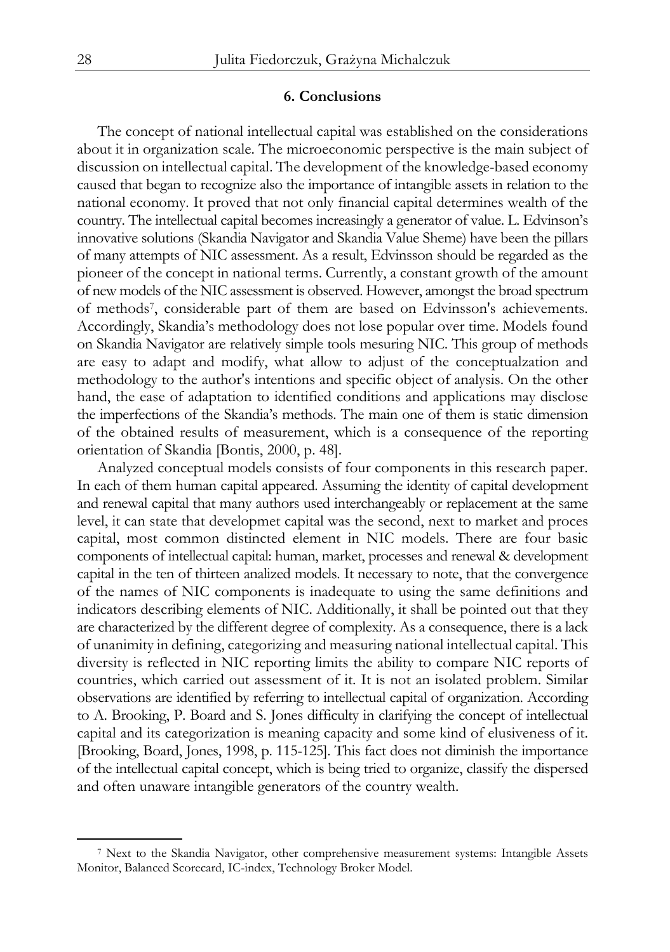#### **6. Conclusions**

The concept of national intellectual capital was established on the considerations about it in organization scale. The microeconomic perspective is the main subject of discussion on intellectual capital. The development of the knowledge-based economy caused that began to recognize also the importance of intangible assets in relation to the national economy. It proved that not only financial capital determines wealth of the country. The intellectual capital becomes increasingly a generator of value. L. Edvinson's innovative solutions (Skandia Navigator and Skandia Value Sheme) have been the pillars of many attempts of NIC assessment. As a result, Edvinsson should be regarded as the pioneer of the concept in national terms. Currently, a constant growth of the amount of new models of the NIC assessment is observed. However, amongst the broad spectrum of methods7, considerable part of them are based on Edvinsson's achievements. Accordingly, Skandia's methodology does not lose popular over time. Models found on Skandia Navigator are relatively simple tools mesuring NIC. This group of methods are easy to adapt and modify, what allow to adjust of the conceptualzation and methodology to the author's intentions and specific object of analysis. On the other hand, the ease of adaptation to identified conditions and applications may disclose the imperfections of the Skandia's methods. The main one of them is static dimension of the obtained results of measurement, which is a consequence of the reporting orientation of Skandia [Bontis, 2000, p. 48].

Analyzed conceptual models consists of four components in this research paper. In each of them human capital appeared. Assuming the identity of capital development and renewal capital that many authors used interchangeably or replacement at the same level, it can state that developmet capital was the second, next to market and proces capital, most common distincted element in NIC models. There are four basic components of intellectual capital: human, market, processes and renewal & development capital in the ten of thirteen analized models. It necessary to note, that the convergence of the names of NIC components is inadequate to using the same definitions and indicators describing elements of NIC. Additionally, it shall be pointed out that they are characterized by the different degree of complexity. As a consequence, there is a lack of unanimity in defining, categorizing and measuring national intellectual capital. This diversity is reflected in NIC reporting limits the ability to compare NIC reports of countries, which carried out assessment of it. It is not an isolated problem. Similar observations are identified by referring to intellectual capital of organization. According to A. Brooking, P. Board and S. Jones difficulty in clarifying the concept of intellectual capital and its categorization is meaning capacity and some kind of elusiveness of it. [Brooking, Board, Jones, 1998, p. 115-125]. This fact does not diminish the importance of the intellectual capital concept, which is being tried to organize, classify the dispersed and often unaware intangible generators of the country wealth.

<sup>7</sup> Next to the Skandia Navigator, other comprehensive measurement systems: Intangible Assets Monitor, Balanced Scorecard, IC-index, Technology Broker Model.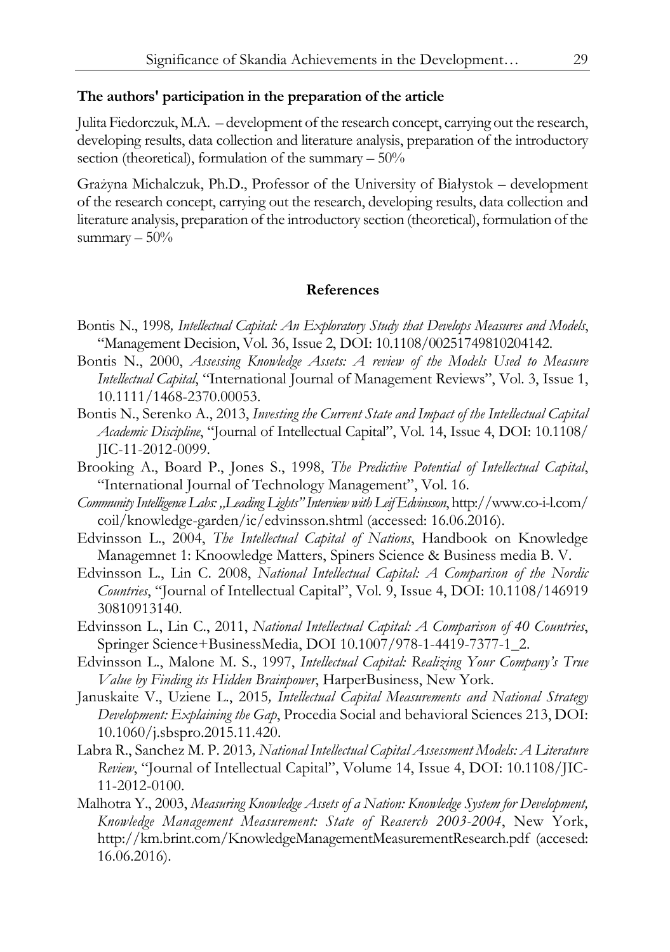#### **The authors' participation in the preparation of the article**

Julita Fiedorczuk, M.A. – development of the research concept, carrying out the research, developing results, data collection and literature analysis, preparation of the introductory section (theoretical), formulation of the summary  $-50\%$ 

Grażyna Michalczuk, Ph.D., Professor of the University of Białystok – development of the research concept, carrying out the research, developing results, data collection and literature analysis, preparation of the introductory section (theoretical), formulation of the summary  $-50\%$ 

## **References**

- Bontis N., 1998*, Intellectual Capital: An Exploratory Study that Develops Measures and Models*, "Management Decision, Vol. 36, Issue 2, DOI: 10.1108/00251749810204142.
- Bontis N., 2000, *Assessing Knowledge Assets: A review of the Models Used to Measure Intellectual Capital*, "International Journal of Management Reviews", Vol. 3, Issue 1, 10.1111/1468-2370.00053.
- Bontis N., Serenko A., 2013, *Investing the Current State and Impact of the Intellectual Capital Academic Discipline*, "Journal of Intellectual Capital", Vol. 14, Issue 4, DOI: 10.1108/ JIC-11-2012-0099.
- Brooking A., Board P., Jones S., 1998, *The Predictive Potential of Intellectual Capital*, "International Journal of Technology Management", Vol. 16.
- *Community Intelligence Labs: "Leading Lights" Interview with Leif Edvinsson*, http://www.co-i-l.com/ coil/knowledge-garden/ic/edvinsson.shtml (accessed: 16.06.2016).
- Edvinsson L., 2004, *The Intellectual Capital of Nations*, Handbook on Knowledge Managemnet 1: Knoowledge Matters, Spiners Science & Business media B. V.
- Edvinsson L., Lin C. 2008, *National Intellectual Capital: A Comparison of the Nordic Countries*, "Journal of Intellectual Capital", Vol. 9, Issue 4, DOI: 10.1108/146919 30810913140.
- Edvinsson L., Lin C., 2011, *National Intellectual Capital: A Comparison of 40 Countries*, Springer Science+BusinessMedia, DOI 10.1007/978-1-4419-7377-1\_2.
- Edvinsson L., Malone M. S., 1997, *Intellectual Capital: Realizing Your Company's True Value by Finding its Hidden Brainpower*, HarperBusiness, New York.
- Januskaite V., Uziene L., 2015*, Intellectual Capital Measurements and National Strategy Development: Explaining the Gap*, Procedia Social and behavioral Sciences 213, DOI: 10.1060/j.sbspro.2015.11.420.
- Labra R., Sanchez M. P. 2013*, National Intellectual Capital Assessment Models: A Literature Review*, "Journal of Intellectual Capital", Volume 14, Issue 4, DOI: 10.1108/JIC-11-2012-0100.
- Malhotra Y., 2003, *Measuring Knowledge Assets of a Nation: Knowledge System for Development, Knowledge Management Measurement: State of Reaserch 2003-2004*, New York, http://km.brint.com/KnowledgeManagementMeasurementResearch.pdf (accesed: 16.06.2016).